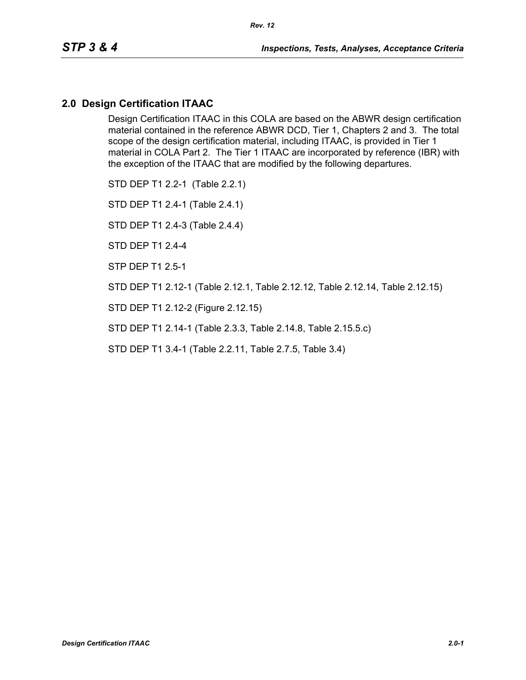### **2.0 Design Certification ITAAC**

Design Certification ITAAC in this COLA are based on the ABWR design certification material contained in the reference ABWR DCD, Tier 1, Chapters 2 and 3. The total scope of the design certification material, including ITAAC, is provided in Tier 1 material in COLA Part 2. The Tier 1 ITAAC are incorporated by reference (IBR) with the exception of the ITAAC that are modified by the following departures.

STD DEP T1 2.2-1 (Table 2.2.1)

STD DEP T1 2.4-1 (Table 2.4.1)

STD DEP T1 2.4-3 (Table 2.4.4)

STD DEP T1 2.4-4

STP DEP T1 2.5-1

STD DEP T1 2.12-1 (Table 2.12.1, Table 2.12.12, Table 2.12.14, Table 2.12.15)

STD DEP T1 2.12-2 (Figure 2.12.15)

STD DEP T1 2.14-1 (Table 2.3.3, Table 2.14.8, Table 2.15.5.c)

STD DEP T1 3.4-1 (Table 2.2.11, Table 2.7.5, Table 3.4)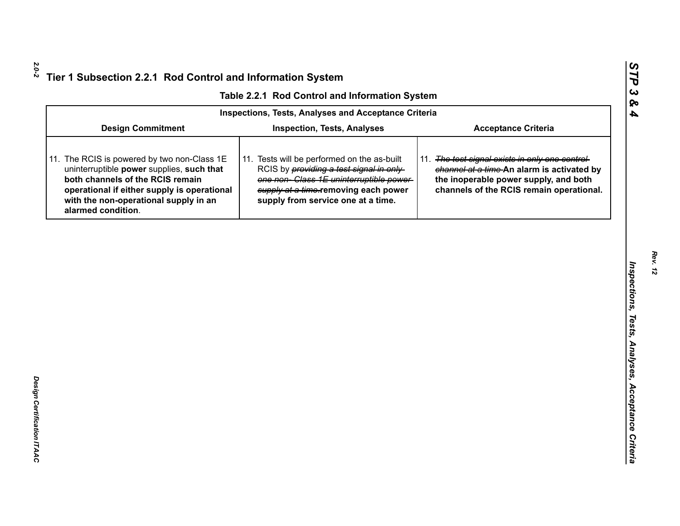|  | Table 2.2.1 Rod Control and Information System |  |
|--|------------------------------------------------|--|
|  |                                                |  |

|                                                                                                                                                                                                                                            | Table 2.2.1 Rod Control and Information System                                                                                                                                                                         |                                                                                                                                                                                    |
|--------------------------------------------------------------------------------------------------------------------------------------------------------------------------------------------------------------------------------------------|------------------------------------------------------------------------------------------------------------------------------------------------------------------------------------------------------------------------|------------------------------------------------------------------------------------------------------------------------------------------------------------------------------------|
|                                                                                                                                                                                                                                            | <b>Inspections, Tests, Analyses and Acceptance Criteria</b>                                                                                                                                                            |                                                                                                                                                                                    |
| <b>Design Commitment</b>                                                                                                                                                                                                                   | <b>Inspection, Tests, Analyses</b>                                                                                                                                                                                     | <b>Acceptance Criteria</b>                                                                                                                                                         |
| 11. The RCIS is powered by two non-Class 1E<br>uninterruptible power supplies, such that<br>both channels of the RCIS remain<br>operational if either supply is operational<br>with the non-operational supply in an<br>alarmed condition. | 11. Tests will be performed on the as-built<br>RCIS by <i>providing a test signal in only</i><br>one non-Class 1E uninterruptible power-<br>supply at a time-removing each power<br>supply from service one at a time. | 11. The test signal exists in only one control-<br>channel at a time-An alarm is activated by<br>the inoperable power supply, and both<br>channels of the RCIS remain operational. |
|                                                                                                                                                                                                                                            |                                                                                                                                                                                                                        |                                                                                                                                                                                    |
|                                                                                                                                                                                                                                            |                                                                                                                                                                                                                        |                                                                                                                                                                                    |
|                                                                                                                                                                                                                                            |                                                                                                                                                                                                                        |                                                                                                                                                                                    |
|                                                                                                                                                                                                                                            |                                                                                                                                                                                                                        |                                                                                                                                                                                    |
|                                                                                                                                                                                                                                            |                                                                                                                                                                                                                        |                                                                                                                                                                                    |
|                                                                                                                                                                                                                                            |                                                                                                                                                                                                                        |                                                                                                                                                                                    |
|                                                                                                                                                                                                                                            |                                                                                                                                                                                                                        |                                                                                                                                                                                    |
|                                                                                                                                                                                                                                            |                                                                                                                                                                                                                        |                                                                                                                                                                                    |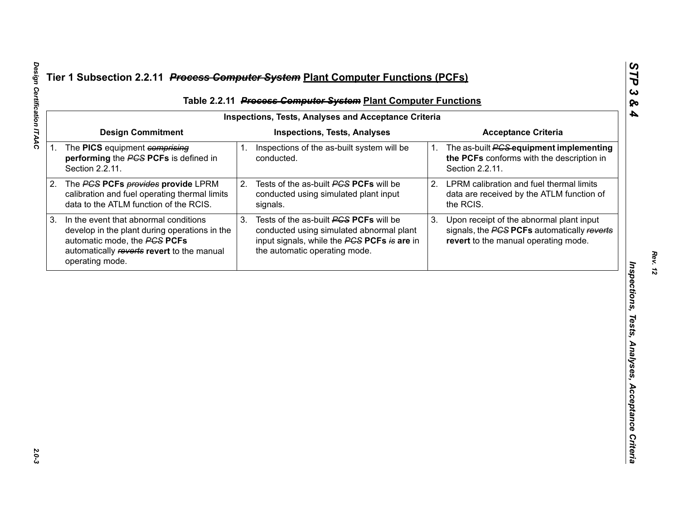|                                                                                                                                                                                         |                                                              | Table 2.2.11 Process Computer System Plant Computer Functions                                                                                                      |                                                                                         |                                                                                                                                 |
|-----------------------------------------------------------------------------------------------------------------------------------------------------------------------------------------|--------------------------------------------------------------|--------------------------------------------------------------------------------------------------------------------------------------------------------------------|-----------------------------------------------------------------------------------------|---------------------------------------------------------------------------------------------------------------------------------|
|                                                                                                                                                                                         |                                                              |                                                                                                                                                                    |                                                                                         |                                                                                                                                 |
|                                                                                                                                                                                         |                                                              |                                                                                                                                                                    |                                                                                         | <b>Acceptance Criteria</b>                                                                                                      |
| performing the PCS PCFs is defined in<br>Section 2.2.11.                                                                                                                                |                                                              | conducted.                                                                                                                                                         |                                                                                         | The as-built <b>PCS</b> equipment implementing<br>the PCFs conforms with the description in<br>Section 2.2.11.                  |
| The PCS PCFs provides provide LPRM<br>calibration and fuel operating thermal limits<br>data to the ATLM function of the RCIS.                                                           |                                                              | Tests of the as-built PCS PCFs will be<br>conducted using simulated plant input<br>signals.                                                                        | 2.                                                                                      | LPRM calibration and fuel thermal limits<br>data are received by the ATLM function of<br>the RCIS.                              |
| In the event that abnormal conditions<br>develop in the plant during operations in the<br>automatic mode, the PCS PCFs<br>automatically reverts revert to the manual<br>operating mode. | 3.                                                           | Tests of the as-built PCS PCFs will be<br>conducted using simulated abnormal plant<br>input signals, while the PCS PCFs is are in<br>the automatic operating mode. | 3.                                                                                      | Upon receipt of the abnormal plant input<br>signals, the PCS PCFs automatically reverts<br>revert to the manual operating mode. |
|                                                                                                                                                                                         |                                                              |                                                                                                                                                                    |                                                                                         |                                                                                                                                 |
|                                                                                                                                                                                         |                                                              |                                                                                                                                                                    |                                                                                         |                                                                                                                                 |
|                                                                                                                                                                                         |                                                              |                                                                                                                                                                    |                                                                                         |                                                                                                                                 |
|                                                                                                                                                                                         |                                                              |                                                                                                                                                                    |                                                                                         |                                                                                                                                 |
|                                                                                                                                                                                         |                                                              |                                                                                                                                                                    |                                                                                         |                                                                                                                                 |
|                                                                                                                                                                                         | <b>Design Commitment</b><br>1. The PICS equipment comprising | 1.                                                                                                                                                                 | <b>Inspections, Tests, Analyses</b><br>Inspections of the as-built system will be<br>2. | <b>Inspections, Tests, Analyses and Acceptance Criteria</b>                                                                     |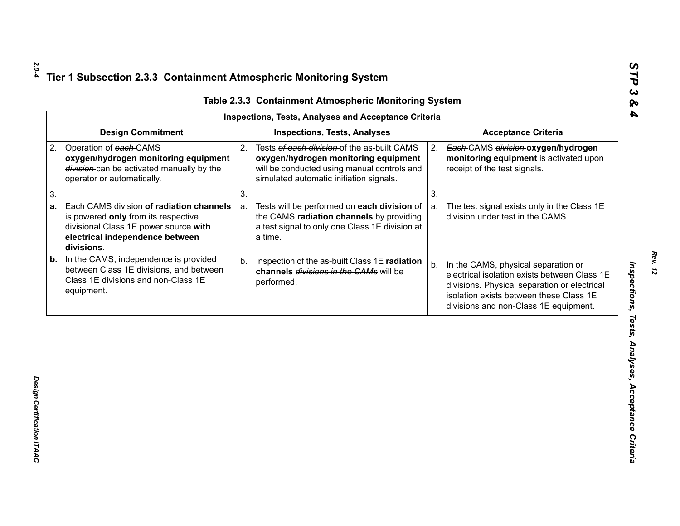| <b>Design Commitment</b><br><b>Inspections, Tests, Analyses</b><br><b>Acceptance Criteria</b><br>Operation of each-CAMS<br>Tests of each division of the as-built CAMS<br>2.<br>Each-CAMS division-oxygen/hydrogen<br>2.<br>oxygen/hydrogen monitoring equipment<br>oxygen/hydrogen monitoring equipment<br>monitoring equipment is activated upon<br>division-can be activated manually by the<br>will be conducted using manual controls and<br>receipt of the test signals.<br>simulated automatic initiation signals.<br>operator or automatically.<br>3.<br>3.<br>Each CAMS division of radiation channels<br>Tests will be performed on each division of<br>The test signal exists only in the Class 1E<br>a.<br>a.<br>the CAMS radiation channels by providing<br>division under test in the CAMS.<br>is powered only from its respective<br>a test signal to only one Class 1E division at<br>divisional Class 1E power source with |  |
|---------------------------------------------------------------------------------------------------------------------------------------------------------------------------------------------------------------------------------------------------------------------------------------------------------------------------------------------------------------------------------------------------------------------------------------------------------------------------------------------------------------------------------------------------------------------------------------------------------------------------------------------------------------------------------------------------------------------------------------------------------------------------------------------------------------------------------------------------------------------------------------------------------------------------------------------|--|
| 2.                                                                                                                                                                                                                                                                                                                                                                                                                                                                                                                                                                                                                                                                                                                                                                                                                                                                                                                                          |  |
| 3.<br>а.                                                                                                                                                                                                                                                                                                                                                                                                                                                                                                                                                                                                                                                                                                                                                                                                                                                                                                                                    |  |
|                                                                                                                                                                                                                                                                                                                                                                                                                                                                                                                                                                                                                                                                                                                                                                                                                                                                                                                                             |  |
| electrical independence between<br>a time.<br>divisions.                                                                                                                                                                                                                                                                                                                                                                                                                                                                                                                                                                                                                                                                                                                                                                                                                                                                                    |  |
| In the CAMS, independence is provided<br>b.<br>Inspection of the as-built Class 1E radiation<br>b.<br>In the CAMS, physical separation or<br>b.<br>between Class 1E divisions, and between<br>channels divisions in the CAMs will be<br>electrical isolation exists between Class 1E<br>Class 1E divisions and non-Class 1E<br>performed.<br>divisions. Physical separation or electrical<br>equipment.<br>isolation exists between these Class 1E<br>divisions and non-Class 1E equipment.                                                                                                                                                                                                                                                                                                                                                                                                                                                 |  |

Design Certification ITAAC *Design Certification ITAAC* 

*Rev. 12*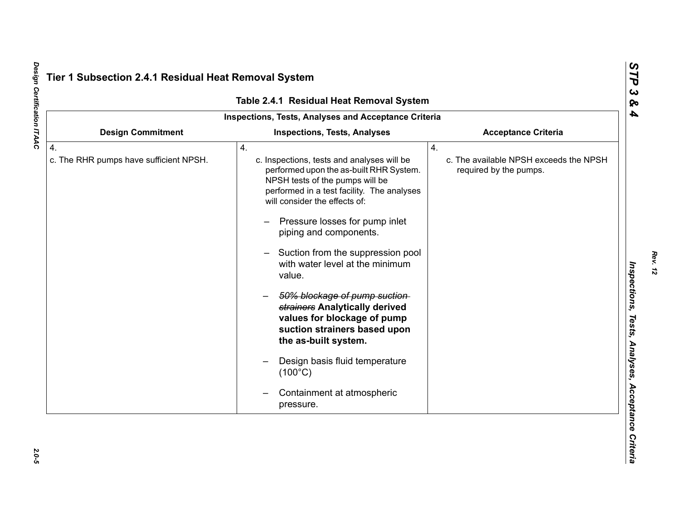|                                                            | Table 2.4.1 Residual Heat Removal System                                                                                                                                                                                                                                                                                                                                                                                                                                                                                                                                                                               |                                                                        |
|------------------------------------------------------------|------------------------------------------------------------------------------------------------------------------------------------------------------------------------------------------------------------------------------------------------------------------------------------------------------------------------------------------------------------------------------------------------------------------------------------------------------------------------------------------------------------------------------------------------------------------------------------------------------------------------|------------------------------------------------------------------------|
|                                                            | Inspections, Tests, Analyses and Acceptance Criteria                                                                                                                                                                                                                                                                                                                                                                                                                                                                                                                                                                   |                                                                        |
| <b>Design Commitment</b>                                   | <b>Inspections, Tests, Analyses</b>                                                                                                                                                                                                                                                                                                                                                                                                                                                                                                                                                                                    | <b>Acceptance Criteria</b>                                             |
| $\overline{4}$ .<br>c. The RHR pumps have sufficient NPSH. | 4.<br>c. Inspections, tests and analyses will be<br>performed upon the as-built RHR System.<br>NPSH tests of the pumps will be<br>performed in a test facility. The analyses<br>will consider the effects of:<br>Pressure losses for pump inlet<br>piping and components.<br>Suction from the suppression pool<br>with water level at the minimum<br>value.<br>50% blockage of pump suction-<br>strainers Analytically derived<br>values for blockage of pump<br>suction strainers based upon<br>the as-built system.<br>Design basis fluid temperature<br>$(100^{\circ}C)$<br>Containment at atmospheric<br>pressure. | 4.<br>c. The available NPSH exceeds the NPSH<br>required by the pumps. |

Design Certification ITAAC *Design Certification ITAAC 2.0-5*

 $2.0 - 5$ 

*Rev. 12*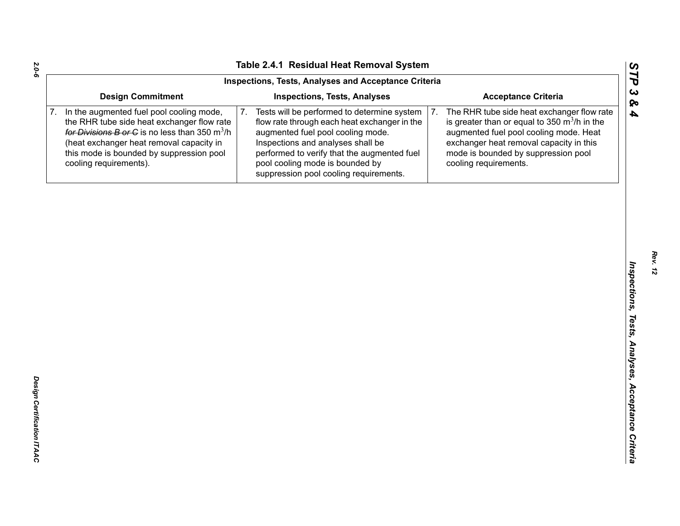|                                                                                                                                                                                                                                                              | Inspections, Tests, Analyses and Acceptance Criteria                                                                                                                                                                                                                                                    |                                                                                                                                                                                                                                                                   |
|--------------------------------------------------------------------------------------------------------------------------------------------------------------------------------------------------------------------------------------------------------------|---------------------------------------------------------------------------------------------------------------------------------------------------------------------------------------------------------------------------------------------------------------------------------------------------------|-------------------------------------------------------------------------------------------------------------------------------------------------------------------------------------------------------------------------------------------------------------------|
| <b>Design Commitment</b>                                                                                                                                                                                                                                     | <b>Inspections, Tests, Analyses</b>                                                                                                                                                                                                                                                                     | <b>Acceptance Criteria</b>                                                                                                                                                                                                                                        |
| In the augmented fuel pool cooling mode,<br>the RHR tube side heat exchanger flow rate<br>for Divisions B or C is no less than 350 $m^3/h$<br>(heat exchanger heat removal capacity in<br>this mode is bounded by suppression pool<br>cooling requirements). | Tests will be performed to determine system<br>7.<br>flow rate through each heat exchanger in the<br>augmented fuel pool cooling mode.<br>Inspections and analyses shall be<br>performed to verify that the augmented fuel<br>pool cooling mode is bounded by<br>suppression pool cooling requirements. | The RHR tube side heat exchanger flow rate<br>7.<br>is greater than or equal to 350 $\mathrm{m}^3$ /h in the<br>augmented fuel pool cooling mode. Heat<br>exchanger heat removal capacity in this<br>mode is bounded by suppression pool<br>cooling requirements. |
|                                                                                                                                                                                                                                                              |                                                                                                                                                                                                                                                                                                         |                                                                                                                                                                                                                                                                   |
|                                                                                                                                                                                                                                                              |                                                                                                                                                                                                                                                                                                         |                                                                                                                                                                                                                                                                   |
|                                                                                                                                                                                                                                                              |                                                                                                                                                                                                                                                                                                         |                                                                                                                                                                                                                                                                   |
|                                                                                                                                                                                                                                                              |                                                                                                                                                                                                                                                                                                         |                                                                                                                                                                                                                                                                   |
|                                                                                                                                                                                                                                                              |                                                                                                                                                                                                                                                                                                         |                                                                                                                                                                                                                                                                   |
|                                                                                                                                                                                                                                                              |                                                                                                                                                                                                                                                                                                         |                                                                                                                                                                                                                                                                   |
|                                                                                                                                                                                                                                                              |                                                                                                                                                                                                                                                                                                         |                                                                                                                                                                                                                                                                   |
|                                                                                                                                                                                                                                                              |                                                                                                                                                                                                                                                                                                         |                                                                                                                                                                                                                                                                   |
|                                                                                                                                                                                                                                                              |                                                                                                                                                                                                                                                                                                         |                                                                                                                                                                                                                                                                   |
|                                                                                                                                                                                                                                                              |                                                                                                                                                                                                                                                                                                         |                                                                                                                                                                                                                                                                   |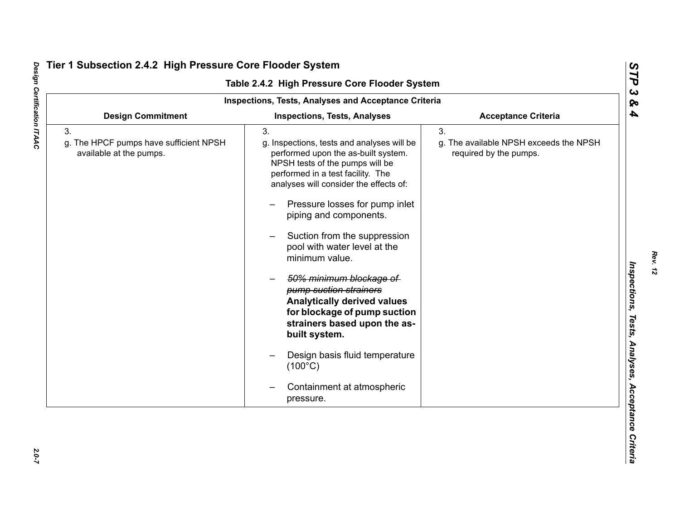|                                                                         | <b>Inspections, Tests, Analyses and Acceptance Criteria</b>                                                                                                                                                                                                                                                                                                                                                                                                                                                                                                                                                                          |                                                                        |
|-------------------------------------------------------------------------|--------------------------------------------------------------------------------------------------------------------------------------------------------------------------------------------------------------------------------------------------------------------------------------------------------------------------------------------------------------------------------------------------------------------------------------------------------------------------------------------------------------------------------------------------------------------------------------------------------------------------------------|------------------------------------------------------------------------|
| <b>Design Commitment</b>                                                | <b>Inspections, Tests, Analyses</b>                                                                                                                                                                                                                                                                                                                                                                                                                                                                                                                                                                                                  | <b>Acceptance Criteria</b>                                             |
| 3.<br>g. The HPCF pumps have sufficient NPSH<br>available at the pumps. | 3.<br>g. Inspections, tests and analyses will be<br>performed upon the as-built system.<br>NPSH tests of the pumps will be<br>performed in a test facility. The<br>analyses will consider the effects of:<br>Pressure losses for pump inlet<br>piping and components.<br>Suction from the suppression<br>pool with water level at the<br>minimum value.<br>50% minimum blockage of<br>pump suction strainers<br><b>Analytically derived values</b><br>for blockage of pump suction<br>strainers based upon the as-<br>built system.<br>Design basis fluid temperature<br>$(100^{\circ}C)$<br>Containment at atmospheric<br>pressure. | 3.<br>g. The available NPSH exceeds the NPSH<br>required by the pumps. |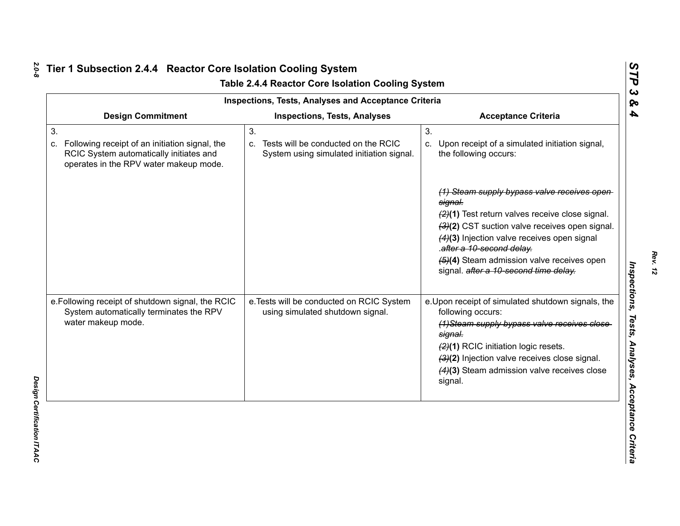| <b>Inspections, Tests, Analyses and Acceptance Criteria</b>                                                                                     |                                                                                           |                                                                                                                                                                                                                                                                                                                                                                                                                    |  |  |
|-------------------------------------------------------------------------------------------------------------------------------------------------|-------------------------------------------------------------------------------------------|--------------------------------------------------------------------------------------------------------------------------------------------------------------------------------------------------------------------------------------------------------------------------------------------------------------------------------------------------------------------------------------------------------------------|--|--|
| <b>Design Commitment</b>                                                                                                                        | <b>Inspections, Tests, Analyses</b>                                                       | <b>Acceptance Criteria</b>                                                                                                                                                                                                                                                                                                                                                                                         |  |  |
| 3.<br>Following receipt of an initiation signal, the<br>C.<br>RCIC System automatically initiates and<br>operates in the RPV water makeup mode. | 3.<br>c. Tests will be conducted on the RCIC<br>System using simulated initiation signal. | 3.<br>c. Upon receipt of a simulated initiation signal,<br>the following occurs:<br>(1) Steam supply bypass valve receives open<br>signal.<br>(2)(1) Test return valves receive close signal.<br>(3)(2) CST suction valve receives open signal.<br>(4)(3) Injection valve receives open signal<br>.after a 10-second delay.<br>(5)(4) Steam admission valve receives open<br>signal. after a 10-second time delay. |  |  |
| e. Following receipt of shutdown signal, the RCIC<br>System automatically terminates the RPV<br>water makeup mode.                              | e. Tests will be conducted on RCIC System<br>using simulated shutdown signal.             | e. Upon receipt of simulated shutdown signals, the<br>following occurs:<br>(1) Steam supply bypass valve receives close<br>signal.<br>(2)(1) RCIC initiation logic resets.<br>(3)(2) Injection valve receives close signal.<br>(4)(3) Steam admission valve receives close<br>signal.                                                                                                                              |  |  |

*Rev. 12*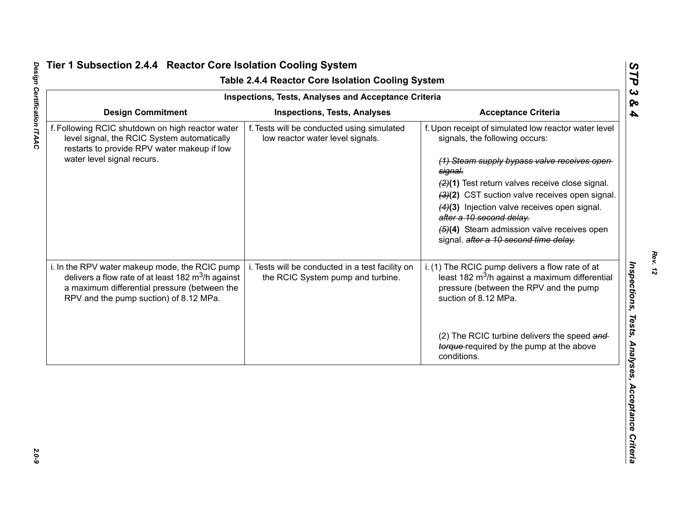| <b>Inspections, Tests, Analyses and Acceptance Criteria</b>                                                                                                                                              |                                                                                       |                                                                                                                                                                                                                                                                                                                                                                                                                                    |
|----------------------------------------------------------------------------------------------------------------------------------------------------------------------------------------------------------|---------------------------------------------------------------------------------------|------------------------------------------------------------------------------------------------------------------------------------------------------------------------------------------------------------------------------------------------------------------------------------------------------------------------------------------------------------------------------------------------------------------------------------|
| <b>Design Commitment</b>                                                                                                                                                                                 | <b>Inspections, Tests, Analyses</b>                                                   | <b>Acceptance Criteria</b>                                                                                                                                                                                                                                                                                                                                                                                                         |
| f. Following RCIC shutdown on high reactor water<br>level signal, the RCIC System automatically<br>restarts to provide RPV water makeup if low<br>water level signal recurs.                             | f. Tests will be conducted using simulated<br>low reactor water level signals.        | f. Upon receipt of simulated low reactor water level<br>signals, the following occurs:<br>(1) Steam supply bypass valve receives open<br>signal.<br>(2)(1) Test return valves receive close signal.<br>(3)(2) CST suction valve receives open signal.<br>(4)(3) Injection valve receives open signal.<br>after a 10 second delay.<br>$\left(4\right)$ Steam admission valve receives open<br>signal. after a 10 second time delay. |
| i. In the RPV water makeup mode, the RCIC pump<br>delivers a flow rate of at least 182 $\text{m}^3$ /h against<br>a maximum differential pressure (between the<br>RPV and the pump suction) of 8.12 MPa. | i. Tests will be conducted in a test facility on<br>the RCIC System pump and turbine. | i. (1) The RCIC pump delivers a flow rate of at<br>least 182 m <sup>3</sup> /h against a maximum differential<br>pressure (between the RPV and the pump<br>suction of 8.12 MPa.<br>(2) The RCIC turbine delivers the speed and                                                                                                                                                                                                     |
|                                                                                                                                                                                                          |                                                                                       | torque-required by the pump at the above<br>conditions.                                                                                                                                                                                                                                                                                                                                                                            |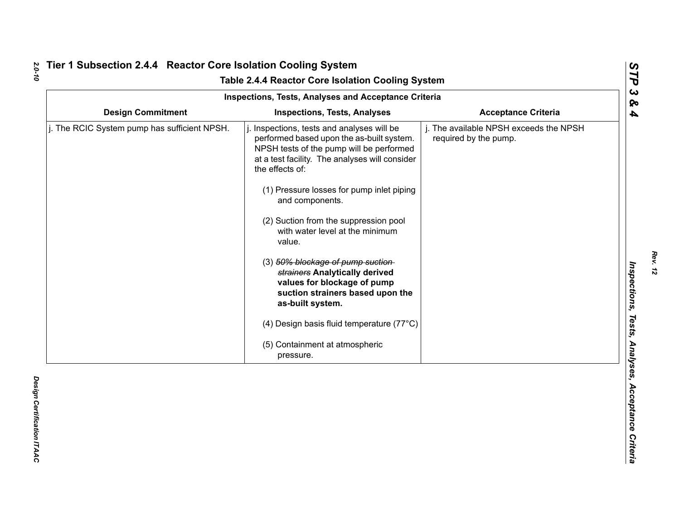| Table 2.4.4 Reactor Core Isolation Cooling System<br><b>Inspections, Tests, Analyses and Acceptance Criteria</b> |                                                                                                                                                                                                                                                                                                                                                                                                                                                                                                                                                                                                                       |                                                                 |  |  |
|------------------------------------------------------------------------------------------------------------------|-----------------------------------------------------------------------------------------------------------------------------------------------------------------------------------------------------------------------------------------------------------------------------------------------------------------------------------------------------------------------------------------------------------------------------------------------------------------------------------------------------------------------------------------------------------------------------------------------------------------------|-----------------------------------------------------------------|--|--|
| <b>Design Commitment</b>                                                                                         | <b>Inspections, Tests, Analyses</b>                                                                                                                                                                                                                                                                                                                                                                                                                                                                                                                                                                                   | <b>Acceptance Criteria</b>                                      |  |  |
| j. The RCIC System pump has sufficient NPSH.                                                                     | Inspections, tests and analyses will be<br>performed based upon the as-built system.<br>NPSH tests of the pump will be performed<br>at a test facility. The analyses will consider<br>the effects of:<br>(1) Pressure losses for pump inlet piping<br>and components.<br>(2) Suction from the suppression pool<br>with water level at the minimum<br>value.<br>(3) 50% blockage of pump suction-<br>strainers Analytically derived<br>values for blockage of pump<br>suction strainers based upon the<br>as-built system.<br>(4) Design basis fluid temperature (77°C)<br>(5) Containment at atmospheric<br>pressure. | j. The available NPSH exceeds the NPSH<br>required by the pump. |  |  |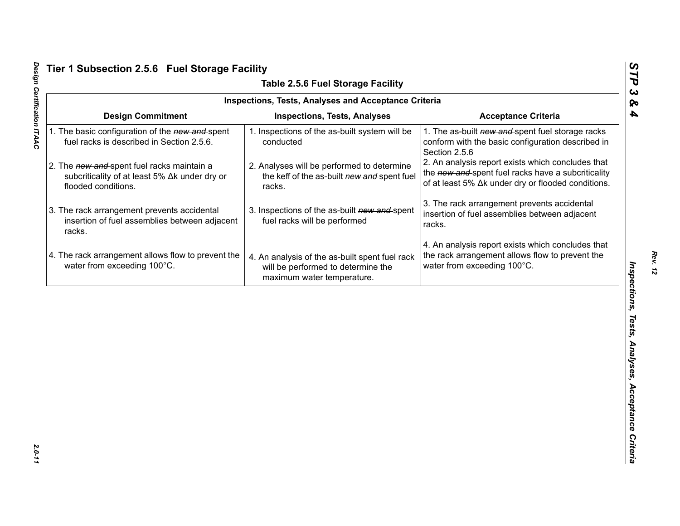| <b>Inspections, Tests, Analyses and Acceptance Criteria</b><br><b>Design Commitment</b><br><b>Acceptance Criteria</b><br><b>Inspections, Tests, Analyses</b><br>1. The as-built new and spent fuel storage racks<br>1. The basic configuration of the new and spent<br>1. Inspections of the as-built system will be<br>fuel racks is described in Section 2.5.6.<br>conducted<br>conform with the basic configuration described in<br>Section 2.5.6<br>2. An analysis report exists which concludes that<br>2. The new and spent fuel racks maintain a<br>2. Analyses will be performed to determine<br>the new and spent fuel racks have a subcriticality<br>subcriticality of at least 5% ∆k under dry or<br>the keff of the as-built new and spent fuel<br>of at least 5% Δk under dry or flooded conditions.<br>flooded conditions.<br>racks.<br>3. The rack arrangement prevents accidental<br>3. The rack arrangement prevents accidental<br>3. Inspections of the as-built new and spent<br>insertion of fuel assemblies between adjacent<br>insertion of fuel assemblies between adjacent<br>fuel racks will be performed<br>racks.<br>racks.<br>4. An analysis report exists which concludes that |
|-------------------------------------------------------------------------------------------------------------------------------------------------------------------------------------------------------------------------------------------------------------------------------------------------------------------------------------------------------------------------------------------------------------------------------------------------------------------------------------------------------------------------------------------------------------------------------------------------------------------------------------------------------------------------------------------------------------------------------------------------------------------------------------------------------------------------------------------------------------------------------------------------------------------------------------------------------------------------------------------------------------------------------------------------------------------------------------------------------------------------------------------------------------------------------------------------------------|
|                                                                                                                                                                                                                                                                                                                                                                                                                                                                                                                                                                                                                                                                                                                                                                                                                                                                                                                                                                                                                                                                                                                                                                                                             |
|                                                                                                                                                                                                                                                                                                                                                                                                                                                                                                                                                                                                                                                                                                                                                                                                                                                                                                                                                                                                                                                                                                                                                                                                             |
|                                                                                                                                                                                                                                                                                                                                                                                                                                                                                                                                                                                                                                                                                                                                                                                                                                                                                                                                                                                                                                                                                                                                                                                                             |
|                                                                                                                                                                                                                                                                                                                                                                                                                                                                                                                                                                                                                                                                                                                                                                                                                                                                                                                                                                                                                                                                                                                                                                                                             |
| 4. The rack arrangement allows flow to prevent the<br>the rack arrangement allows flow to prevent the<br>4. An analysis of the as-built spent fuel rack<br>water from exceeding 100°C.<br>water from exceeding 100°C.<br>will be performed to determine the<br>maximum water temperature.                                                                                                                                                                                                                                                                                                                                                                                                                                                                                                                                                                                                                                                                                                                                                                                                                                                                                                                   |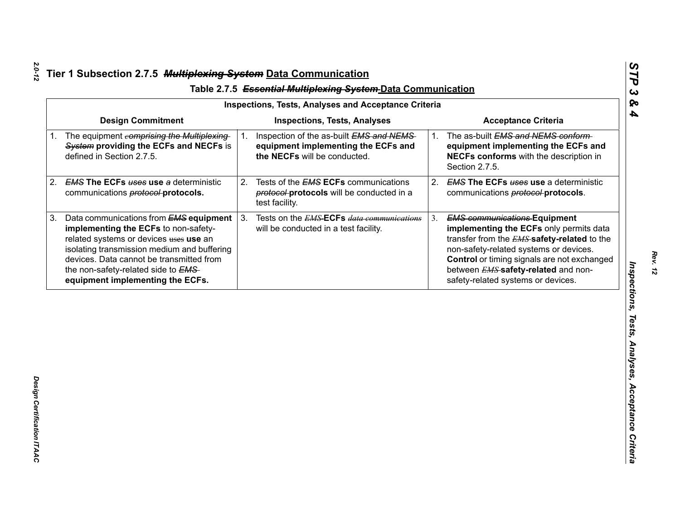| <b>Design Commitment</b><br><b>Inspections, Tests, Analyses</b><br><b>Acceptance Criteria</b><br>The equipment comprising the Multiplexing<br>Inspection of the as-built EMS and NEMS<br>The as-built EMS and NEMS conform-<br>1.<br>1.<br>System providing the ECFs and NECFs is<br>equipment implementing the ECFs and<br>defined in Section 2.7.5.<br>the NECFs will be conducted.<br>Section 2.7.5.<br><b>EMS The ECFs uses use a deterministic</b><br>Tests of the <b>EMS ECFs</b> communications<br>2.<br>2.<br>communications <b>protocol-protocols</b> .<br>protocol-protocols will be conducted in a<br>communications <b>protocol-protocols</b> .<br>test facility.<br>3 <sub>1</sub><br>Data communications from EMS equipment<br>Tests on the <i>EMS</i> ECFs <i>data communications</i><br><b>EMS communications Equipment</b><br>3.<br>implementing the ECFs to non-safety-<br>will be conducted in a test facility.<br>related systems or devices uses use an<br>isolating transmission medium and buffering<br>non-safety-related systems or devices.<br>devices. Data cannot be transmitted from | equipment implementing the ECFs and<br>NECFs conforms with the description in<br><b>EMS The ECFs uses use a deterministic</b><br>implementing the ECFs only permits data<br>transfer from the <b>EMS</b> safety-related to the<br>Control or timing signals are not exchanged<br>the non-safety-related side to EMS-<br>between <b>EMS</b> safety-related and non-<br>safety-related systems or devices.<br>equipment implementing the ECFs. | <b>Inspections, Tests, Analyses and Acceptance Criteria</b> |  |  |
|-------------------------------------------------------------------------------------------------------------------------------------------------------------------------------------------------------------------------------------------------------------------------------------------------------------------------------------------------------------------------------------------------------------------------------------------------------------------------------------------------------------------------------------------------------------------------------------------------------------------------------------------------------------------------------------------------------------------------------------------------------------------------------------------------------------------------------------------------------------------------------------------------------------------------------------------------------------------------------------------------------------------------------------------------------------------------------------------------------------------|----------------------------------------------------------------------------------------------------------------------------------------------------------------------------------------------------------------------------------------------------------------------------------------------------------------------------------------------------------------------------------------------------------------------------------------------|-------------------------------------------------------------|--|--|
| 1.<br>2.<br>3.                                                                                                                                                                                                                                                                                                                                                                                                                                                                                                                                                                                                                                                                                                                                                                                                                                                                                                                                                                                                                                                                                                    |                                                                                                                                                                                                                                                                                                                                                                                                                                              |                                                             |  |  |
|                                                                                                                                                                                                                                                                                                                                                                                                                                                                                                                                                                                                                                                                                                                                                                                                                                                                                                                                                                                                                                                                                                                   |                                                                                                                                                                                                                                                                                                                                                                                                                                              |                                                             |  |  |
|                                                                                                                                                                                                                                                                                                                                                                                                                                                                                                                                                                                                                                                                                                                                                                                                                                                                                                                                                                                                                                                                                                                   |                                                                                                                                                                                                                                                                                                                                                                                                                                              |                                                             |  |  |
|                                                                                                                                                                                                                                                                                                                                                                                                                                                                                                                                                                                                                                                                                                                                                                                                                                                                                                                                                                                                                                                                                                                   |                                                                                                                                                                                                                                                                                                                                                                                                                                              |                                                             |  |  |
|                                                                                                                                                                                                                                                                                                                                                                                                                                                                                                                                                                                                                                                                                                                                                                                                                                                                                                                                                                                                                                                                                                                   |                                                                                                                                                                                                                                                                                                                                                                                                                                              |                                                             |  |  |
|                                                                                                                                                                                                                                                                                                                                                                                                                                                                                                                                                                                                                                                                                                                                                                                                                                                                                                                                                                                                                                                                                                                   |                                                                                                                                                                                                                                                                                                                                                                                                                                              |                                                             |  |  |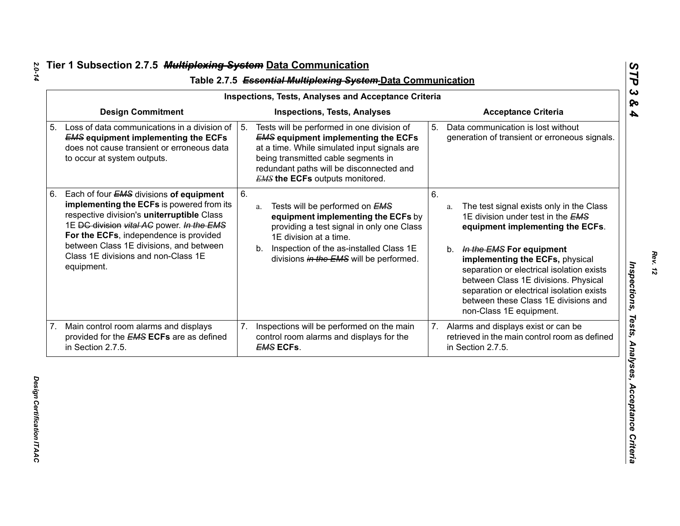| <b>Inspections, Tests, Analyses and Acceptance Criteria</b> |                                                                                                                                                                                                                                                                                                                           |                                     |                                                                                                                                                                                                                                                                       |    |                                                                                                                                                                                                                                                                                                                                                                                                |  |  |
|-------------------------------------------------------------|---------------------------------------------------------------------------------------------------------------------------------------------------------------------------------------------------------------------------------------------------------------------------------------------------------------------------|-------------------------------------|-----------------------------------------------------------------------------------------------------------------------------------------------------------------------------------------------------------------------------------------------------------------------|----|------------------------------------------------------------------------------------------------------------------------------------------------------------------------------------------------------------------------------------------------------------------------------------------------------------------------------------------------------------------------------------------------|--|--|
| <b>Design Commitment</b>                                    |                                                                                                                                                                                                                                                                                                                           | <b>Inspections, Tests, Analyses</b> |                                                                                                                                                                                                                                                                       |    | <b>Acceptance Criteria</b>                                                                                                                                                                                                                                                                                                                                                                     |  |  |
|                                                             | 5. Loss of data communications in a division of<br><b>EMS equipment implementing the ECFs</b><br>does not cause transient or erroneous data<br>to occur at system outputs.                                                                                                                                                | 5.                                  | Tests will be performed in one division of<br><b>EMS equipment implementing the ECFs</b><br>at a time. While simulated input signals are<br>being transmitted cable segments in<br>redundant paths will be disconnected and<br><b>EMS the ECFs</b> outputs monitored. | 5. | Data communication is lost without<br>generation of transient or erroneous signals.                                                                                                                                                                                                                                                                                                            |  |  |
| 6.                                                          | Each of four EMS divisions of equipment<br>implementing the ECFs is powered from its<br>respective division's uniterruptible Class<br>1E DC division vital AC power. In the EMS<br>For the ECFs, independence is provided<br>between Class 1E divisions, and between<br>Class 1E divisions and non-Class 1E<br>equipment. | 6.                                  | Tests will be performed on EMS<br>a.<br>equipment implementing the ECFs by<br>providing a test signal in only one Class<br>1E division at a time.<br>b. Inspection of the as-installed Class 1E<br>divisions in the EMS will be performed.                            | 6. | The test signal exists only in the Class<br>a.<br>1E division under test in the EMS<br>equipment implementing the ECFs.<br>b. In the EMS For equipment<br>implementing the ECFs, physical<br>separation or electrical isolation exists<br>between Class 1E divisions. Physical<br>separation or electrical isolation exists<br>between these Class 1E divisions and<br>non-Class 1E equipment. |  |  |
| 7.                                                          | Main control room alarms and displays<br>provided for the <b>EMS ECFs</b> are as defined<br>in Section 2.7.5.                                                                                                                                                                                                             | 7.                                  | Inspections will be performed on the main<br>control room alarms and displays for the<br><b>EMS ECFs.</b>                                                                                                                                                             | 7. | Alarms and displays exist or can be<br>retrieved in the main control room as defined<br>in Section 2.7.5.                                                                                                                                                                                                                                                                                      |  |  |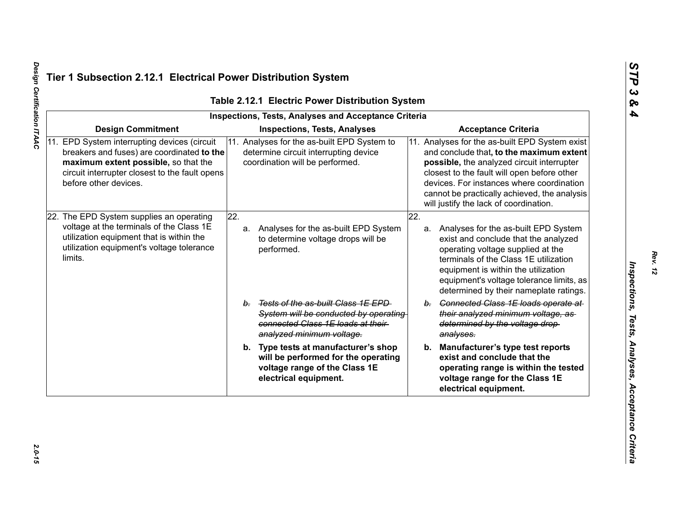|                                                                                                                                                                                                               | <b>Inspections, Tests, Analyses and Acceptance Criteria</b>                                                                                      |     |                                                                                                                                                                                                                                                                                                                                |
|---------------------------------------------------------------------------------------------------------------------------------------------------------------------------------------------------------------|--------------------------------------------------------------------------------------------------------------------------------------------------|-----|--------------------------------------------------------------------------------------------------------------------------------------------------------------------------------------------------------------------------------------------------------------------------------------------------------------------------------|
| <b>Design Commitment</b>                                                                                                                                                                                      | <b>Inspections, Tests, Analyses</b>                                                                                                              |     | <b>Acceptance Criteria</b>                                                                                                                                                                                                                                                                                                     |
| 11. EPD System interrupting devices (circuit<br>breakers and fuses) are coordinated to the<br>maximum extent possible, so that the<br>circuit interrupter closest to the fault opens<br>before other devices. | 11. Analyses for the as-built EPD System to<br>determine circuit interrupting device<br>coordination will be performed.                          |     | 11. Analyses for the as-built EPD System exist<br>and conclude that, to the maximum extent<br>possible, the analyzed circuit interrupter<br>closest to the fault will open before other<br>devices. For instances where coordination<br>cannot be practically achieved, the analysis<br>will justify the lack of coordination. |
| 22. The EPD System supplies an operating<br>voltage at the terminals of the Class 1E<br>utilization equipment that is within the<br>utilization equipment's voltage tolerance<br>limits.                      | $\overline{22}$ .<br>Analyses for the as-built EPD System<br>a.<br>to determine voltage drops will be<br>performed.                              | 22. | a. Analyses for the as-built EPD System<br>exist and conclude that the analyzed<br>operating voltage supplied at the<br>terminals of the Class 1E utilization<br>equipment is within the utilization<br>equipment's voltage tolerance limits, as<br>determined by their nameplate ratings.                                     |
|                                                                                                                                                                                                               | b. Tests of the as-built Class 1E EPD<br>System will be conducted by operating<br>connected Class 1E loads at their<br>analyzed minimum voltage. |     | b. Connected Class 1E loads operate at<br>their analyzed minimum voltage, as-<br>determined by the voltage drop-<br>analyses.                                                                                                                                                                                                  |
|                                                                                                                                                                                                               | b. Type tests at manufacturer's shop<br>will be performed for the operating<br>voltage range of the Class 1E<br>electrical equipment.            |     | b. Manufacturer's type test reports<br>exist and conclude that the<br>operating range is within the tested<br>voltage range for the Class 1E<br>electrical equipment.                                                                                                                                                          |

Design Certification ITAAC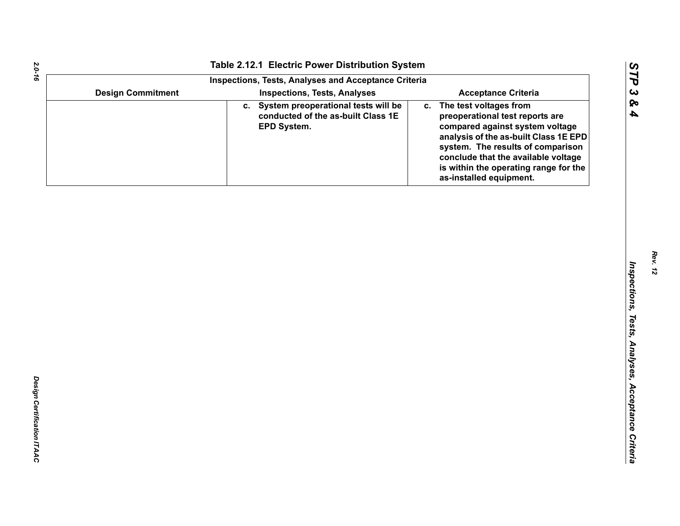|                          | Table 2.12.1 Electric Power Distribution System                                             |                                                                                                                                                                                                                                                                                             |
|--------------------------|---------------------------------------------------------------------------------------------|---------------------------------------------------------------------------------------------------------------------------------------------------------------------------------------------------------------------------------------------------------------------------------------------|
|                          | <b>Inspections, Tests, Analyses and Acceptance Criteria</b>                                 |                                                                                                                                                                                                                                                                                             |
| <b>Design Commitment</b> | <b>Inspections, Tests, Analyses</b>                                                         | <b>Acceptance Criteria</b>                                                                                                                                                                                                                                                                  |
|                          | c. System preoperational tests will be<br>conducted of the as-built Class 1E<br>EPD System. | The test voltages from<br>C.<br>preoperational test reports are<br>compared against system voltage<br>analysis of the as-built Class 1E EPD<br>system. The results of comparison<br>conclude that the available voltage<br>is within the operating range for the<br>as-installed equipment. |
|                          |                                                                                             |                                                                                                                                                                                                                                                                                             |
|                          |                                                                                             |                                                                                                                                                                                                                                                                                             |
|                          |                                                                                             |                                                                                                                                                                                                                                                                                             |
|                          |                                                                                             |                                                                                                                                                                                                                                                                                             |
|                          |                                                                                             |                                                                                                                                                                                                                                                                                             |
|                          |                                                                                             |                                                                                                                                                                                                                                                                                             |
|                          |                                                                                             |                                                                                                                                                                                                                                                                                             |
|                          |                                                                                             |                                                                                                                                                                                                                                                                                             |
|                          |                                                                                             |                                                                                                                                                                                                                                                                                             |
|                          |                                                                                             |                                                                                                                                                                                                                                                                                             |
|                          |                                                                                             |                                                                                                                                                                                                                                                                                             |
|                          |                                                                                             |                                                                                                                                                                                                                                                                                             |
|                          |                                                                                             |                                                                                                                                                                                                                                                                                             |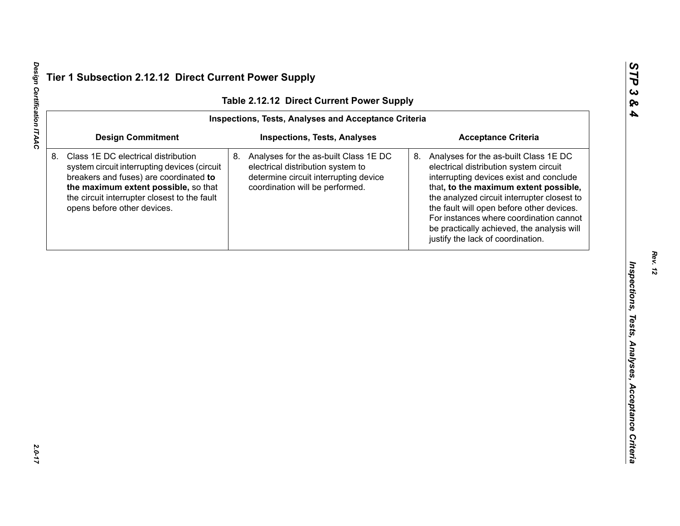| Table 2.12.12 Direct Current Power Supply                   |                                                                                                                                                                                                                                                      |                                                                                                                                                              |                                                                                                                                                                                                                                                                                                                                                                                                  |  |  |  |
|-------------------------------------------------------------|------------------------------------------------------------------------------------------------------------------------------------------------------------------------------------------------------------------------------------------------------|--------------------------------------------------------------------------------------------------------------------------------------------------------------|--------------------------------------------------------------------------------------------------------------------------------------------------------------------------------------------------------------------------------------------------------------------------------------------------------------------------------------------------------------------------------------------------|--|--|--|
| <b>Inspections, Tests, Analyses and Acceptance Criteria</b> |                                                                                                                                                                                                                                                      |                                                                                                                                                              |                                                                                                                                                                                                                                                                                                                                                                                                  |  |  |  |
|                                                             | <b>Design Commitment</b>                                                                                                                                                                                                                             | <b>Inspections, Tests, Analyses</b>                                                                                                                          | <b>Acceptance Criteria</b>                                                                                                                                                                                                                                                                                                                                                                       |  |  |  |
|                                                             | Class 1E DC electrical distribution<br>system circuit interrupting devices (circuit<br>breakers and fuses) are coordinated to<br>the maximum extent possible, so that<br>the circuit interrupter closest to the fault<br>opens before other devices. | 8.<br>Analyses for the as-built Class 1E DC<br>electrical distribution system to<br>determine circuit interrupting device<br>coordination will be performed. | 8. Analyses for the as-built Class 1E DC<br>electrical distribution system circuit<br>interrupting devices exist and conclude<br>that, to the maximum extent possible,<br>the analyzed circuit interrupter closest to<br>the fault will open before other devices.<br>For instances where coordination cannot<br>be practically achieved, the analysis will<br>justify the lack of coordination. |  |  |  |
|                                                             |                                                                                                                                                                                                                                                      |                                                                                                                                                              |                                                                                                                                                                                                                                                                                                                                                                                                  |  |  |  |
|                                                             |                                                                                                                                                                                                                                                      |                                                                                                                                                              |                                                                                                                                                                                                                                                                                                                                                                                                  |  |  |  |
|                                                             |                                                                                                                                                                                                                                                      |                                                                                                                                                              |                                                                                                                                                                                                                                                                                                                                                                                                  |  |  |  |
|                                                             |                                                                                                                                                                                                                                                      |                                                                                                                                                              |                                                                                                                                                                                                                                                                                                                                                                                                  |  |  |  |
|                                                             |                                                                                                                                                                                                                                                      |                                                                                                                                                              |                                                                                                                                                                                                                                                                                                                                                                                                  |  |  |  |
|                                                             |                                                                                                                                                                                                                                                      |                                                                                                                                                              |                                                                                                                                                                                                                                                                                                                                                                                                  |  |  |  |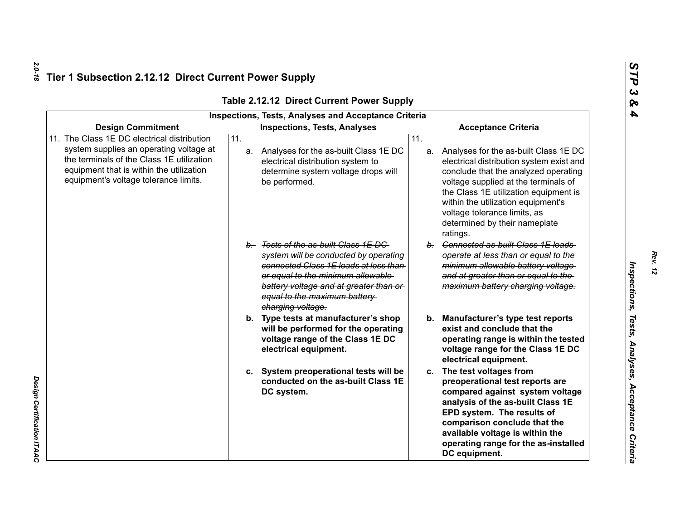| <b>Inspections, Tests, Analyses and Acceptance Criteria</b>                                                                                                                                                          |                                                                                                                                                                                                                                                            |                                                                                                                                                                                                                                                                                                                                         |  |  |  |
|----------------------------------------------------------------------------------------------------------------------------------------------------------------------------------------------------------------------|------------------------------------------------------------------------------------------------------------------------------------------------------------------------------------------------------------------------------------------------------------|-----------------------------------------------------------------------------------------------------------------------------------------------------------------------------------------------------------------------------------------------------------------------------------------------------------------------------------------|--|--|--|
| <b>Design Commitment</b>                                                                                                                                                                                             | <b>Inspections, Tests, Analyses</b>                                                                                                                                                                                                                        | <b>Acceptance Criteria</b>                                                                                                                                                                                                                                                                                                              |  |  |  |
| The Class 1E DC electrical distribution<br>system supplies an operating voltage at<br>the terminals of the Class 1E utilization<br>equipment that is within the utilization<br>equipment's voltage tolerance limits. | $\overline{11}$ .<br>a. Analyses for the as-built Class 1E DC<br>electrical distribution system to<br>determine system voltage drops will<br>be performed.                                                                                                 | 11.<br>a. Analyses for the as-built Class 1E DC<br>electrical distribution system exist and<br>conclude that the analyzed operating<br>voltage supplied at the terminals of<br>the Class 1E utilization equipment is<br>within the utilization equipment's<br>voltage tolerance limits, as<br>determined by their nameplate<br>ratings. |  |  |  |
|                                                                                                                                                                                                                      | b. Tests of the as-built Class 1E DC<br>system will be conducted by operating<br>connected Class 1E loads at less than<br>or equal to the minimum allowable<br>battery voltage and at greater than or<br>equal to the maximum battery<br>charging voltage. | b. Connected as-built Class 1E loads<br>operate at less than or equal to the<br>minimum allowable battery voltage<br>and at greater than or equal to the<br>maximum battery charging voltage.                                                                                                                                           |  |  |  |
|                                                                                                                                                                                                                      | b. Type tests at manufacturer's shop<br>will be performed for the operating<br>voltage range of the Class 1E DC<br>electrical equipment.                                                                                                                   | <b>Manufacturer's type test reports</b><br>b.<br>exist and conclude that the<br>operating range is within the tested<br>voltage range for the Class 1E DC<br>electrical equipment.                                                                                                                                                      |  |  |  |
|                                                                                                                                                                                                                      | c. System preoperational tests will be<br>conducted on the as-built Class 1E<br>DC system.                                                                                                                                                                 | c. The test voltages from<br>preoperational test reports are<br>compared against system voltage<br>analysis of the as-built Class 1E<br>EPD system. The results of<br>comparison conclude that the<br>available voltage is within the<br>operating range for the as-installed<br>DC equipment.                                          |  |  |  |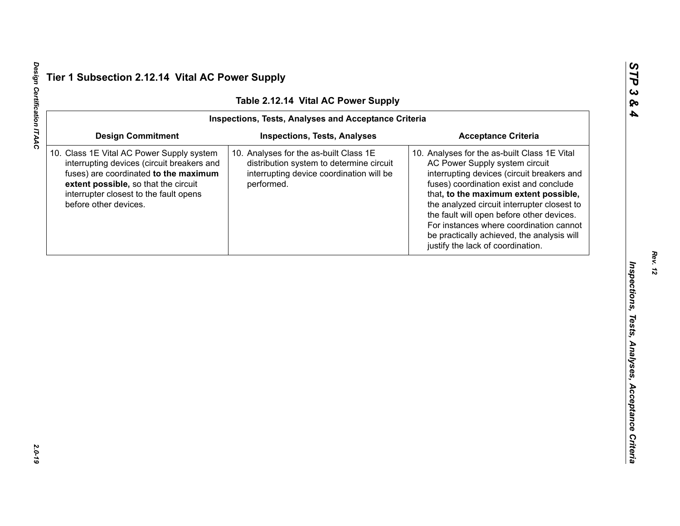*Rev. 12*

Design Certification ITAAC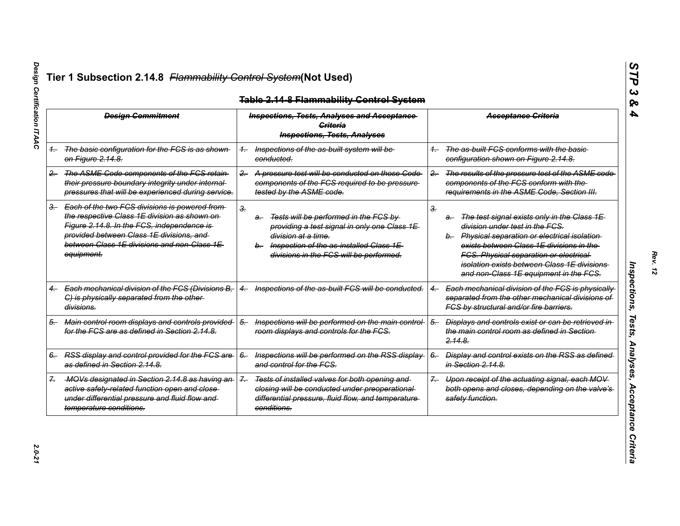| <b>Design Commitment</b> |                                                                                                                                                                                                                                                          | <b>Inspections, Tests, Analyses and Acceptance</b><br>Criteria<br><b>Inspections, Tests, Analyses</b> |                                                                                                                                                                                                       |       | <b>Acceptance Criteria</b>                                                                                                                                                                                                                                                                                                    |
|--------------------------|----------------------------------------------------------------------------------------------------------------------------------------------------------------------------------------------------------------------------------------------------------|-------------------------------------------------------------------------------------------------------|-------------------------------------------------------------------------------------------------------------------------------------------------------------------------------------------------------|-------|-------------------------------------------------------------------------------------------------------------------------------------------------------------------------------------------------------------------------------------------------------------------------------------------------------------------------------|
|                          | 1. The basic configuration for the FCS is as shown<br><del>on Figure 2.14.8.</del>                                                                                                                                                                       | conducted.                                                                                            | Inspections of the as-built system will be                                                                                                                                                            |       | The as-built FCS conforms with the basic-<br>configuration shown on Figure 2.14.8.                                                                                                                                                                                                                                            |
| $2 -$                    | The ASME Code components of the FCS retain<br>their pressure boundary integrity under internal-<br>pressures that will be experienced during service.                                                                                                    | $2 -$                                                                                                 | A pressure test will be conducted on those Code<br>components of the FCS required to be pressure<br>tested by the ASME code.                                                                          | $2 -$ | The results of the pressure test of the ASME code<br>components of the FCS conform with the<br>requirements in the ASME Code, Section III.                                                                                                                                                                                    |
|                          | 3. Each of the two FCS divisions is powered from<br>the respective Class 1E division as shown on-<br>Figure 2.14.8. In the FCS, independence is<br>provided between Class 1E divisions, and<br>between Class 1E divisions and non-Class 1E<br>equipment. | 3.<br>a-                                                                                              | Tests will be performed in the FCS by<br>providing a test signal in only one Class 1E<br>division at a time.<br>b. Inspection of the as-installed Class 1E<br>divisions in the FCS will be performed. | З.    | The test signal exists only in the Class 1E<br>a-<br>division under test in the FCS.<br>b. Physical separation or electrical isolation<br>exists between Class 1E divisions in the<br><b>FCS. Physical separation or electrical</b><br>isolation exists between Class 1E divisions.<br>and non-Class 1E equipment in the FCS. |
|                          | Each mechanical division of the FCS (Divisions B,<br>$4 -$<br>C) is physically separated from the other-<br>divisions.                                                                                                                                   | $^{4-}$                                                                                               | Inspections of the as-built FCS will be conducted.                                                                                                                                                    |       | Each mechanical division of the FCS is physically<br>separated from the other mechanical divisions of<br>FCS by structural and/or fire barriers.                                                                                                                                                                              |
| 5.                       | Main control room displays and controls provided<br>for the FCS are as defined in Section 2.14.8.                                                                                                                                                        | $5-$                                                                                                  | Inspections will be performed on the main control-<br>room displays and controls for the FCS.                                                                                                         | $5-$  | Displays and controls exist or can be retrieved in<br>the main control room as defined in Section-<br><del>2.14.8.</del>                                                                                                                                                                                                      |
|                          | 6. RSS display and control provided for the FCS are<br>as defined in Section 2.14.8.                                                                                                                                                                     | $6-$                                                                                                  | Inspections will be performed on the RSS display-<br>and control for the FCS.                                                                                                                         | $6-$  | Display and control exists on the RSS as defined<br>in Section 2.14.8.                                                                                                                                                                                                                                                        |
|                          | -MOVs designated in Section 2.14.8 as having an-<br>active safety-related function open and close-<br>under differential pressure and fluid flow and<br>temperature conditions.                                                                          | $\mathcal{Z}_{-}$<br>conditions.                                                                      | Tests of installed valves for both opening and<br>closing will be conducted under preoperational-<br>differential pressure, fluid flow, and temperature                                               | $7 -$ | Upon receipt of the actuating signal, each MOV<br>both opens and closes, depending on the valve's<br>safety function.                                                                                                                                                                                                         |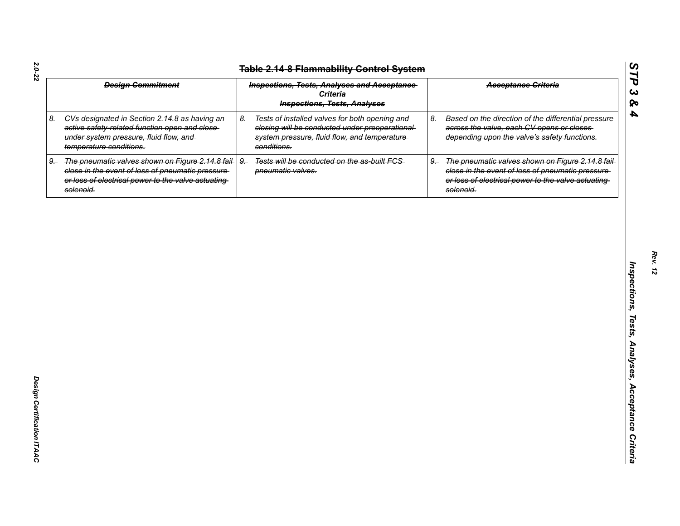| <b>Design Commitment</b> |                                                                                                                                                                            | <b>Inspections, Tests, Analyses and Acceptance</b><br><b>Criteria</b><br><b>Inspections, Tests, Analyses</b> |                                                                                                                                                                   |      | <b>Acceptance Criteria</b>                                                                                                                                                |
|--------------------------|----------------------------------------------------------------------------------------------------------------------------------------------------------------------------|--------------------------------------------------------------------------------------------------------------|-------------------------------------------------------------------------------------------------------------------------------------------------------------------|------|---------------------------------------------------------------------------------------------------------------------------------------------------------------------------|
|                          | 8. CVs designated in Section 2.14.8 as having an-<br>active safety-related function open and close-<br>under system pressure, fluid flow, and<br>temperature conditions.   | $8-$                                                                                                         | Tests of installed valves for both opening and<br>closing will be conducted under preoperational-<br>system pressure, fluid flow, and temperature-<br>conditions. | $8-$ | Based on the direction of the differential pressure-<br>across the valve, each CV opens or closes<br>depending upon the valve's safety functions.                         |
| 9.                       | The pneumatic valves shown on Figure 2.14.8 fail-<br>close in the event of loss of pneumatic pressure-<br>or loss of electrical power to the valve actuating-<br>solenoid. | $9-$                                                                                                         | Tests will be conducted on the as-built FCS-<br>pneumatic valves.                                                                                                 | $9-$ | The pneumatic valves shown on Figure 2.14.8 fail-<br>close in the event of loss of pneumatic pressure-<br>or loss of electrical power to the valve actuating<br>solenoid. |
|                          |                                                                                                                                                                            |                                                                                                              |                                                                                                                                                                   |      |                                                                                                                                                                           |
|                          |                                                                                                                                                                            |                                                                                                              |                                                                                                                                                                   |      |                                                                                                                                                                           |
|                          |                                                                                                                                                                            |                                                                                                              |                                                                                                                                                                   |      |                                                                                                                                                                           |
|                          |                                                                                                                                                                            |                                                                                                              |                                                                                                                                                                   |      |                                                                                                                                                                           |
|                          |                                                                                                                                                                            |                                                                                                              |                                                                                                                                                                   |      |                                                                                                                                                                           |
|                          |                                                                                                                                                                            |                                                                                                              |                                                                                                                                                                   |      |                                                                                                                                                                           |
|                          |                                                                                                                                                                            |                                                                                                              |                                                                                                                                                                   |      |                                                                                                                                                                           |
|                          |                                                                                                                                                                            |                                                                                                              |                                                                                                                                                                   |      |                                                                                                                                                                           |

*Rev. 12*

*STP 3 & 4*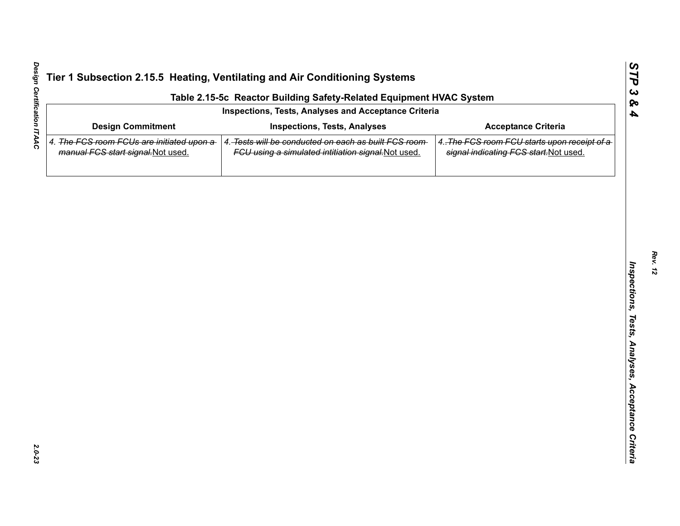| Table 2.15-5c Reactor Building Safety-Related Equipment HVAC System<br>Inspections, Tests, Analyses and Acceptance Criteria |                                                                                                             |                                                                                        |  |  |  |  |  |
|-----------------------------------------------------------------------------------------------------------------------------|-------------------------------------------------------------------------------------------------------------|----------------------------------------------------------------------------------------|--|--|--|--|--|
|                                                                                                                             |                                                                                                             |                                                                                        |  |  |  |  |  |
| 4. The FCS room FCUs are initiated upon a<br>manual FCS start signal. Not used.                                             | 4. Tests will be conducted on each as built FCS room<br>FCU using a simulated intitiation signal. Not used. | 4. The FCS room FCU starts upon receipt of a<br>signal indicating FCS start. Not used. |  |  |  |  |  |
|                                                                                                                             |                                                                                                             |                                                                                        |  |  |  |  |  |
|                                                                                                                             |                                                                                                             |                                                                                        |  |  |  |  |  |
|                                                                                                                             |                                                                                                             |                                                                                        |  |  |  |  |  |
|                                                                                                                             |                                                                                                             |                                                                                        |  |  |  |  |  |
|                                                                                                                             |                                                                                                             |                                                                                        |  |  |  |  |  |
|                                                                                                                             |                                                                                                             |                                                                                        |  |  |  |  |  |
|                                                                                                                             |                                                                                                             |                                                                                        |  |  |  |  |  |
|                                                                                                                             |                                                                                                             |                                                                                        |  |  |  |  |  |
|                                                                                                                             |                                                                                                             |                                                                                        |  |  |  |  |  |
|                                                                                                                             |                                                                                                             |                                                                                        |  |  |  |  |  |
|                                                                                                                             |                                                                                                             |                                                                                        |  |  |  |  |  |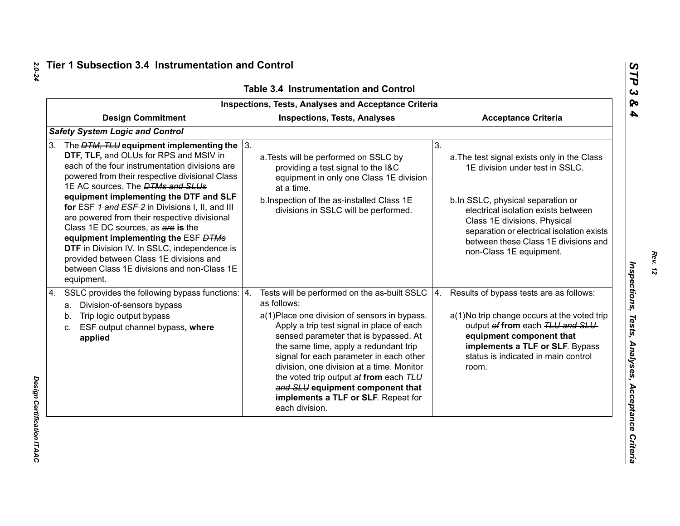| <b>Inspections, Tests, Analyses and Acceptance Criteria</b>                                                                                                                                                                                                                                                                                                                                                                                                                                                                                                                                                                            |                                                                                                                                                                                                                                                                                                                                                                                                                                                                                   |                                                                                                                                                                                                                                                                                                                  |  |  |  |  |
|----------------------------------------------------------------------------------------------------------------------------------------------------------------------------------------------------------------------------------------------------------------------------------------------------------------------------------------------------------------------------------------------------------------------------------------------------------------------------------------------------------------------------------------------------------------------------------------------------------------------------------------|-----------------------------------------------------------------------------------------------------------------------------------------------------------------------------------------------------------------------------------------------------------------------------------------------------------------------------------------------------------------------------------------------------------------------------------------------------------------------------------|------------------------------------------------------------------------------------------------------------------------------------------------------------------------------------------------------------------------------------------------------------------------------------------------------------------|--|--|--|--|
| <b>Design Commitment</b>                                                                                                                                                                                                                                                                                                                                                                                                                                                                                                                                                                                                               | <b>Inspections, Tests, Analyses</b>                                                                                                                                                                                                                                                                                                                                                                                                                                               | <b>Acceptance Criteria</b>                                                                                                                                                                                                                                                                                       |  |  |  |  |
| <b>Safety System Logic and Control</b>                                                                                                                                                                                                                                                                                                                                                                                                                                                                                                                                                                                                 |                                                                                                                                                                                                                                                                                                                                                                                                                                                                                   |                                                                                                                                                                                                                                                                                                                  |  |  |  |  |
| The $DTM$ , TLU equipment implementing the $\vert$ 3.<br>3.<br>DTF, TLF, and OLUs for RPS and MSIV in<br>each of the four instrumentation divisions are<br>powered from their respective divisional Class<br>1E AC sources. The <b>DTMs and SLUs</b><br>equipment implementing the DTF and SLF<br>for ESF 4 and ESF 2 in Divisions I, II, and III<br>are powered from their respective divisional<br>Class 1E DC sources, as are is the<br>equipment implementing the ESF DTMs<br>DTF in Division IV. In SSLC, independence is<br>provided between Class 1E divisions and<br>between Class 1E divisions and non-Class 1E<br>equipment. | a. Tests will be performed on SSLC-by<br>providing a test signal to the I&C<br>equipment in only one Class 1E division<br>at a time.<br>b. Inspection of the as-installed Class 1E<br>divisions in SSLC will be performed.                                                                                                                                                                                                                                                        | 3.<br>a. The test signal exists only in the Class<br>1E division under test in SSLC.<br>b.In SSLC, physical separation or<br>electrical isolation exists between<br>Class 1E divisions. Physical<br>separation or electrical isolation exists<br>between these Class 1E divisions and<br>non-Class 1E equipment. |  |  |  |  |
| SSLC provides the following bypass functions:   4.<br>4.<br>a. Division-of-sensors bypass<br>Trip logic output bypass<br>b.<br>ESF output channel bypass, where<br>c.<br>applied                                                                                                                                                                                                                                                                                                                                                                                                                                                       | Tests will be performed on the as-built SSLC $ 4$ .<br>as follows:<br>a(1) Place one division of sensors in bypass.<br>Apply a trip test signal in place of each<br>sensed parameter that is bypassed. At<br>the same time, apply a redundant trip<br>signal for each parameter in each other<br>division, one division at a time. Monitor<br>the voted trip output at from each TLU<br>and SLU equipment component that<br>implements a TLF or SLF. Repeat for<br>each division. | Results of bypass tests are as follows:<br>a(1) No trip change occurs at the voted trip<br>output of from each TLU and SLU<br>equipment component that<br>implements a TLF or SLF. Bypass<br>status is indicated in main control<br>room.                                                                        |  |  |  |  |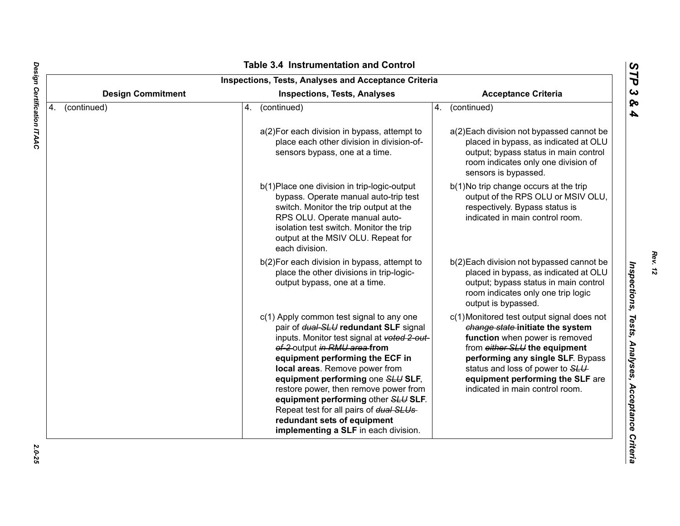| <b>Design Commitment</b><br><b>Acceptance Criteria</b><br><b>Inspections, Tests, Analyses</b> |             |                                                                                                                                                                                                                                                                                                                                                                                                                                                                              |    |                                                                                                                                                                                                                                                                                                   |  |
|-----------------------------------------------------------------------------------------------|-------------|------------------------------------------------------------------------------------------------------------------------------------------------------------------------------------------------------------------------------------------------------------------------------------------------------------------------------------------------------------------------------------------------------------------------------------------------------------------------------|----|---------------------------------------------------------------------------------------------------------------------------------------------------------------------------------------------------------------------------------------------------------------------------------------------------|--|
| 4.                                                                                            | (continued) | (continued)<br>4.                                                                                                                                                                                                                                                                                                                                                                                                                                                            | 4. | (continued)                                                                                                                                                                                                                                                                                       |  |
|                                                                                               |             | a(2) For each division in bypass, attempt to<br>place each other division in division-of-<br>sensors bypass, one at a time.                                                                                                                                                                                                                                                                                                                                                  |    | a(2) Each division not bypassed cannot be<br>placed in bypass, as indicated at OLU<br>output; bypass status in main control<br>room indicates only one division of<br>sensors is bypassed.                                                                                                        |  |
|                                                                                               |             | b(1) Place one division in trip-logic-output<br>bypass. Operate manual auto-trip test<br>switch. Monitor the trip output at the<br>RPS OLU. Operate manual auto-<br>isolation test switch. Monitor the trip<br>output at the MSIV OLU. Repeat for<br>each division.                                                                                                                                                                                                          |    | b(1) No trip change occurs at the trip<br>output of the RPS OLU or MSIV OLU,<br>respectively. Bypass status is<br>indicated in main control room.                                                                                                                                                 |  |
|                                                                                               |             | b(2) For each division in bypass, attempt to<br>place the other divisions in trip-logic-<br>output bypass, one at a time.                                                                                                                                                                                                                                                                                                                                                    |    | b(2) Each division not bypassed cannot be<br>placed in bypass, as indicated at OLU<br>output; bypass status in main control<br>room indicates only one trip logic<br>output is bypassed.                                                                                                          |  |
|                                                                                               |             | c(1) Apply common test signal to any one<br>pair of dual-SLU redundant SLF signal<br>inputs. Monitor test signal at voted 2-out-<br>of-2-output in RMU area-from<br>equipment performing the ECF in<br>local areas. Remove power from<br>equipment performing one SLU SLF,<br>restore power, then remove power from<br>equipment performing other SLU SLF.<br>Repeat test for all pairs of dual SLUs-<br>redundant sets of equipment<br>implementing a SLF in each division. |    | c(1) Monitored test output signal does not<br>change state-initiate the system<br>function when power is removed<br>from either SLU the equipment<br>performing any single SLF. Bypass<br>status and loss of power to SLU-<br>equipment performing the SLF are<br>indicated in main control room. |  |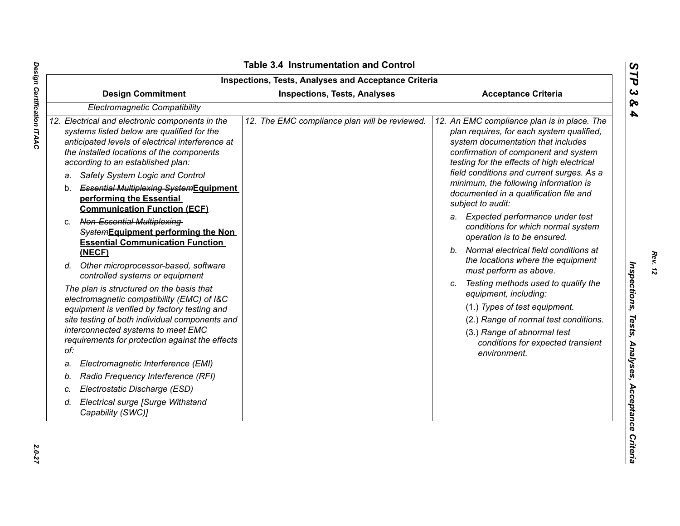|    | <b>Design Commitment</b>                                                                                                                                                                                                                                                                                                                                                                               | <b>Inspections, Tests, Analyses</b>           | <b>Acceptance Criteria</b>                                                                                                                                                                                                                                                                                                                                                                                      |
|----|--------------------------------------------------------------------------------------------------------------------------------------------------------------------------------------------------------------------------------------------------------------------------------------------------------------------------------------------------------------------------------------------------------|-----------------------------------------------|-----------------------------------------------------------------------------------------------------------------------------------------------------------------------------------------------------------------------------------------------------------------------------------------------------------------------------------------------------------------------------------------------------------------|
|    | Electromagnetic Compatibility                                                                                                                                                                                                                                                                                                                                                                          |                                               |                                                                                                                                                                                                                                                                                                                                                                                                                 |
|    | 12. Electrical and electronic components in the<br>systems listed below are qualified for the<br>anticipated levels of electrical interference at<br>the installed locations of the components<br>according to an established plan:<br>Safety System Logic and Control<br>а.<br><b>Essential Multiplexing-SystemEquipment</b><br>b.<br>performing the Essential<br><b>Communication Function (ECF)</b> | 12. The EMC compliance plan will be reviewed. | 12. An EMC compliance plan is in place. The<br>plan requires, for each system qualified,<br>system documentation that includes<br>confirmation of component and system<br>testing for the effects of high electrical<br>field conditions and current surges. As a<br>minimum, the following information is<br>documented in a qualification file and<br>subject to audit:<br>a. Expected performance under test |
|    | Non-Essential Multiplexing-<br>C.<br>SystemEquipment performing the Non<br><b>Essential Communication Function</b><br>(NECF)                                                                                                                                                                                                                                                                           |                                               | conditions for which normal system<br>operation is to be ensured.<br>Normal electrical field conditions at<br>$b_{-}$                                                                                                                                                                                                                                                                                           |
|    | d. Other microprocessor-based, software<br>controlled systems or equipment                                                                                                                                                                                                                                                                                                                             |                                               | the locations where the equipment<br>must perform as above.                                                                                                                                                                                                                                                                                                                                                     |
|    | The plan is structured on the basis that<br>electromagnetic compatibility (EMC) of I&C<br>equipment is verified by factory testing and<br>site testing of both individual components and<br>interconnected systems to meet EMC<br>requirements for protection against the effects<br>of:                                                                                                               |                                               | Testing methods used to qualify the<br>equipment, including:<br>(1.) Types of test equipment.<br>(2.) Range of normal test conditions.<br>(3.) Range of abnormal test<br>conditions for expected transient<br>environment.                                                                                                                                                                                      |
| a. | Electromagnetic Interference (EMI)                                                                                                                                                                                                                                                                                                                                                                     |                                               |                                                                                                                                                                                                                                                                                                                                                                                                                 |
| b. | Radio Frequency Interference (RFI)                                                                                                                                                                                                                                                                                                                                                                     |                                               |                                                                                                                                                                                                                                                                                                                                                                                                                 |
| c. | Electrostatic Discharge (ESD)                                                                                                                                                                                                                                                                                                                                                                          |                                               |                                                                                                                                                                                                                                                                                                                                                                                                                 |
| d. | Electrical surge [Surge Withstand<br>Capability (SWC)]                                                                                                                                                                                                                                                                                                                                                 |                                               |                                                                                                                                                                                                                                                                                                                                                                                                                 |

Design Certification ITAAC *Design Certification ITAAC 2.0-27*

*Rev. 12*